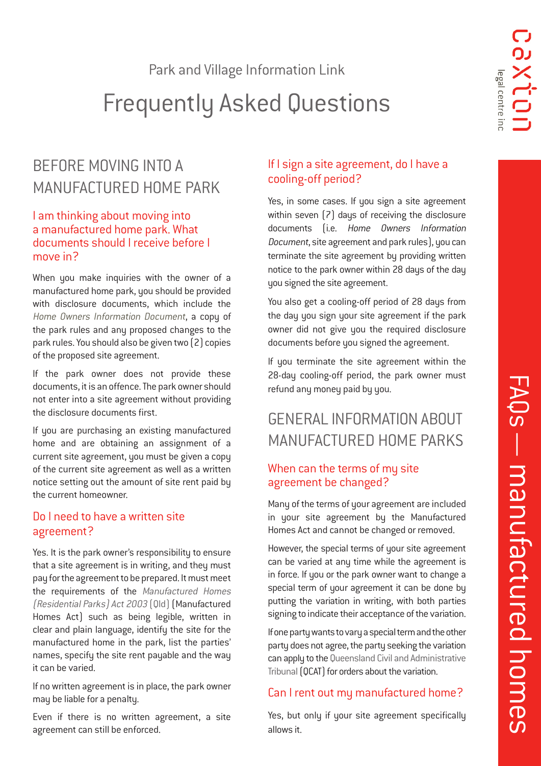Park and Village Information Link

# Frequently Asked Questions

# BEFORE MOVING INTO A MANUFACTURED HOME PARK

### I am thinking about moving into a manufactured home park. What documents should I receive before I move in?

When you make inquiries with the owner of a manufactured home park, you should be provided with disclosure documents, which include the [Home Owners Information Document](http://www.hpw.qld.gov.au/SiteCollectionDocuments/Manufactured%20Homes/ManufacturedHomesForm1.pdf), a copy of the park rules and any proposed changes to the park rules. You should also be given two (2) copies of the proposed site agreement.

If the park owner does not provide these documents, it is an offence. The park owner should not enter into a site agreement without providing the disclosure documents first.

If you are purchasing an existing manufactured home and are obtaining an assignment of a current site agreement, you must be given a copy of the current site agreement as well as a written notice setting out the amount of site rent paid by the current homeowner.

### Do I need to have a written site agreement?

Yes. It is the park owner's responsibility to ensure that a site agreement is in writing, and they must pay for the agreement to be prepared. It must meet the requirements of the [Manufactured Homes](https://www.legislation.qld.gov.au/view/html/inforce/current/act-2003-074) [\(Residential Parks\) Act 2003](https://www.legislation.qld.gov.au/view/html/inforce/current/act-2003-074) (Qld) (Manufactured Homes Act) such as being legible, written in clear and plain language, identify the site for the manufactured home in the park, list the parties' names, specify the site rent payable and the way it can be varied.

If no written agreement is in place, the park owner may be liable for a penalty.

Even if there is no written agreement, a site agreement can still be enforced.

### If I sign a site agreement, do I have a cooling-off period?

Yes, in some cases. If you sign a site agreement within seven [7] days of receiving the disclosure documents (i.e. Home Owners Information Document, site agreement and park rules), you can terminate the site agreement by providing written notice to the park owner within 28 days of the day you signed the site agreement.

You also get a cooling-off period of 28 days from the day you sign your site agreement if the park owner did not give you the required disclosure documents before you signed the agreement.

If you terminate the site agreement within the 28-day cooling-off period, the park owner must refund any money paid by you.

# GENERAL INFORMATION ABOUT MANUFACTURED HOME PARKS

### When can the terms of my site agreement be changed?

Many of the terms of your agreement are included in your site agreement by the Manufactured Homes Act and cannot be changed or removed.

However, the special terms of your site agreement can be varied at any time while the agreement is in force. If you or the park owner want to change a special term of your agreement it can be done by putting the variation in writing, with both parties signing to indicate their acceptance of the variation.

If one party wants to vary a special term and the other party does not agree, the party seeking the variation can apply to the [Queensland Civil and Administrative](http://www.qcat.qld.gov.au/) [Tribunal](http://www.qcat.qld.gov.au/) (QCAT) for orders about the variation.

# Can I rent out my manufactured home?

Yes, but only if your site agreement specifically allows it.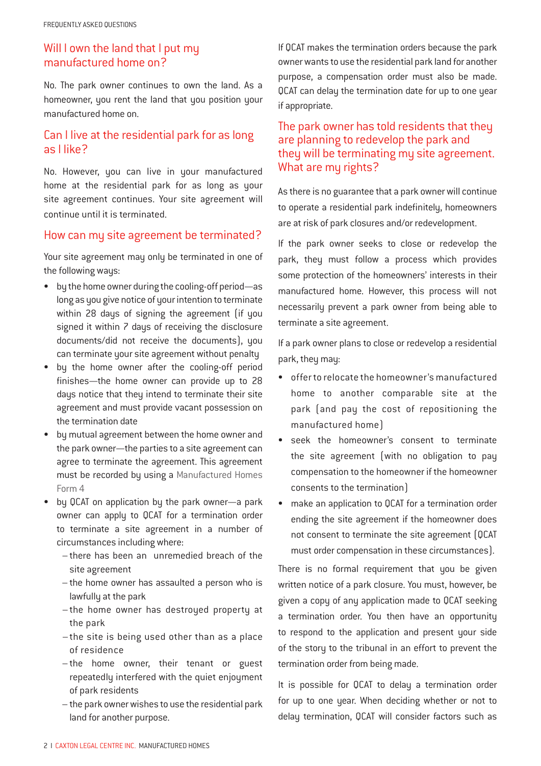### Will I own the land that I put my manufactured home on?

No. The park owner continues to own the land. As a homeowner, you rent the land that you position your manufactured home on.

### Can I live at the residential park for as long as I like?

No. However, you can live in your manufactured home at the residential park for as long as your site agreement continues. Your site agreement will continue until it is terminated.

#### How can my site agreement be terminated?

Your site agreement may only be terminated in one of the following ways:

- by the home owner during the cooling-off period—as long as you give notice of your intention to terminate within 28 days of signing the agreement (if you signed it within 7 days of receiving the disclosure documents/did not receive the documents), you can terminate your site agreement without penalty
- by the home owner after the cooling-off period finishes—the home owner can provide up to 28 days notice that they intend to terminate their site agreement and must provide vacant possession on the termination date
- by mutual agreement between the home owner and the park owner—the parties to a site agreement can agree to terminate the agreement. This agreement must be recorded by using a [Manufactured Homes](http://www.hpw.qld.gov.au/SiteCollectionDocuments/Manufactured%20Homes/ManufacturedHomesForm4.pdf) [Form 4](http://www.hpw.qld.gov.au/SiteCollectionDocuments/Manufactured%20Homes/ManufacturedHomesForm4.pdf)
- by QCAT on application by the park owner—a park owner can apply to QCAT for a termination order to terminate a site agreement in a number of circumstances including where:
	- there has been an unremedied breach of the site agreement
	- the home owner has assaulted a person who is lawfully at the park
	- the home owner has destroyed property at the park
	- the site is being used other than as a place of residence
	- the home owner, their tenant or guest repeatedly interfered with the quiet enjoyment of park residents
	- the park owner wishes to use the residential park land for another purpose.

If QCAT makes the termination orders because the park owner wants to use the residential park land for another purpose, a compensation order must also be made. QCAT can delay the termination date for up to one year if appropriate.

#### The park owner has told residents that they are planning to redevelop the park and they will be terminating my site agreement. What are my rights?

As there is no guarantee that a park owner will continue to operate a residential park indefinitely, homeowners are at risk of park closures and/or redevelopment.

If the park owner seeks to close or redevelop the park, they must follow a process which provides some protection of the homeowners' interests in their manufactured home. However, this process will not necessarily prevent a park owner from being able to terminate a site agreement.

If a park owner plans to close or redevelop a residential park, they may:

- offer to relocate the homeowner's manufactured home to another comparable site at the park (and pay the cost of repositioning the manufactured home)
- seek the homeowner's consent to terminate the site agreement (with no obligation to pay compensation to the homeowner if the homeowner consents to the termination)
- make an application to QCAT for a termination order ending the site agreement if the homeowner does not consent to terminate the site agreement (QCAT must order compensation in these circumstances).

There is no formal requirement that you be given written notice of a park closure. You must, however, be given a copy of any application made to QCAT seeking a termination order. You then have an opportunity to respond to the application and present your side of the story to the tribunal in an effort to prevent the termination order from being made.

It is possible for QCAT to delay a termination order for up to one year. When deciding whether or not to delay termination, QCAT will consider factors such as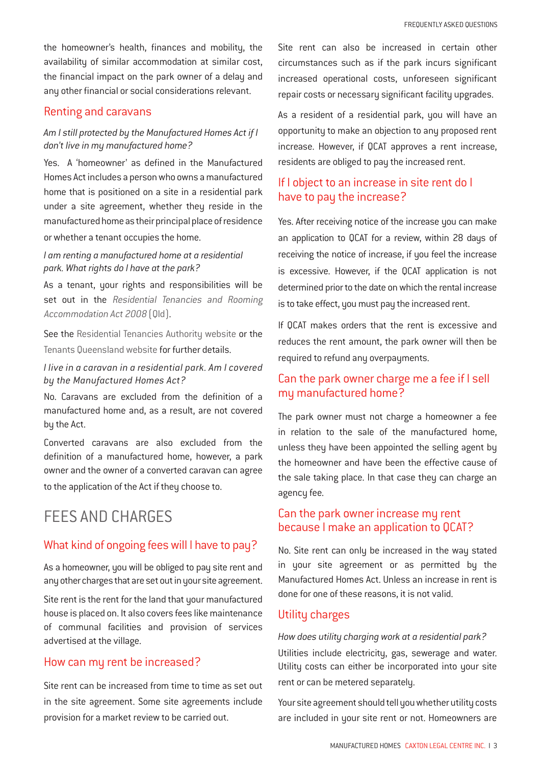the homeowner's health, finances and mobility, the availability of similar accommodation at similar cost, the financial impact on the park owner of a delay and any other financial or social considerations relevant.

#### Renting and caravans

#### *Am I still protected by the Manufactured Homes Act if I don't live in my manufactured home?*

Yes. A 'homeowner' as defined in the Manufactured Homes Act includes a person who owns a manufactured home that is positioned on a site in a residential park under a site agreement, whether they reside in the manufactured home as their principal place of residence or whether a tenant occupies the home.

#### *I am renting a manufactured home at a residential park. What rights do I have at the park?*

As a tenant, your rights and responsibilities will be set out in the [Residential Tenancies and Rooming](https://www.legislation.qld.gov.au/view/html/inforce/current/act-2008-073) [Accommodation Act 2008](https://www.legislation.qld.gov.au/view/html/inforce/current/act-2008-073) [Old].

See the [Residential Tenancies Authority website](https://www.rta.qld.gov.au/) or the [Tenants Queensland website](https://tenantsqld.org.au/) for further details.

#### *I live in a caravan in a residential park. Am I covered by the Manufactured Homes Act?*

No. Caravans are excluded from the definition of a manufactured home and, as a result, are not covered by the Act.

Converted caravans are also excluded from the definition of a manufactured home, however, a park owner and the owner of a converted caravan can agree to the application of the Act if they choose to.

# FEES AND CHARGES

### What kind of ongoing fees will I have to pay?

As a homeowner, you will be obliged to pay site rent and any other charges that are set out in your site agreement.

Site rent is the rent for the land that your manufactured house is placed on. It also covers fees like maintenance of communal facilities and provision of services advertised at the village.

#### How can my rent be increased?

Site rent can be increased from time to time as set out in the site agreement. Some site agreements include provision for a market review to be carried out.

Site rent can also be increased in certain other circumstances such as if the park incurs significant increased operational costs, unforeseen significant repair costs or necessary significant facility upgrades.

As a resident of a residential park, you will have an opportunity to make an objection to any proposed rent increase. However, if QCAT approves a rent increase, residents are obliged to pay the increased rent.

### If I object to an increase in site rent do I have to pay the increase?

Yes. After receiving notice of the increase you can make an application to QCAT for a review, within 28 days of receiving the notice of increase, if you feel the increase is excessive. However, if the QCAT application is not determined prior to the date on which the rental increase is to take effect, you must pay the increased rent.

If QCAT makes orders that the rent is excessive and reduces the rent amount, the park owner will then be required to refund any overpayments.

### Can the park owner charge me a fee if I sell my manufactured home?

The park owner must not charge a homeowner a fee in relation to the sale of the manufactured home, unless they have been appointed the selling agent by the homeowner and have been the effective cause of the sale taking place. In that case they can charge an agency fee.

### Can the park owner increase my rent because I make an application to QCAT?

No. Site rent can only be increased in the way stated in your site agreement or as permitted by the Manufactured Homes Act. Unless an increase in rent is done for one of these reasons, it is not valid.

#### Utility charges

*How does utility charging work at a residential park?* Utilities include electricity, gas, sewerage and water. Utility costs can either be incorporated into your site rent or can be metered separately.

Your site agreement should tell you whether utility costs are included in your site rent or not. Homeowners are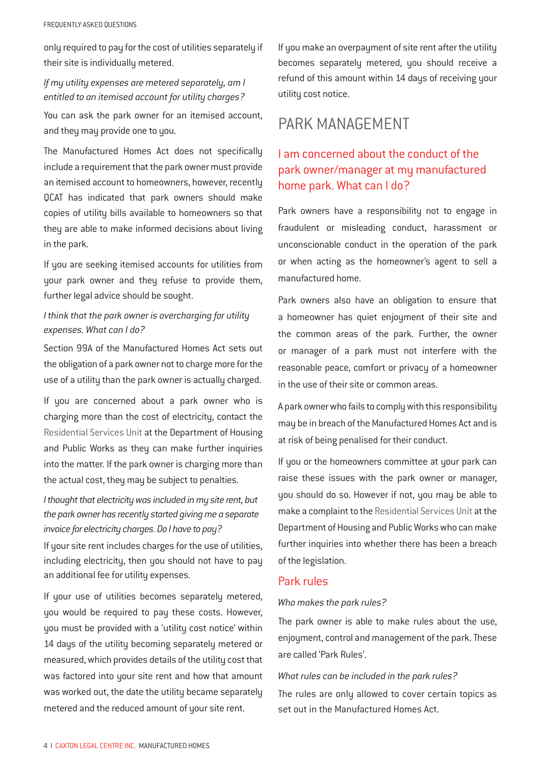only required to pay for the cost of utilities separately if their site is individually metered.

#### *If my utility expenses are metered separately, am I entitled to an itemised account for utility charges?*

You can ask the park owner for an itemised account, and they may provide one to you.

The Manufactured Homes Act does not specifically include a requirement that the park owner must provide an itemised account to homeowners, however, recently QCAT has indicated that park owners should make copies of utility bills available to homeowners so that they are able to make informed decisions about living in the park.

If you are seeking itemised accounts for utilities from your park owner and they refuse to provide them, further legal advice should be sought.

### *I think that the park owner is overcharging for utility expenses. What can I do?*

Section 99A of the Manufactured Homes Act sets out the obligation of a park owner not to charge more for the use of a utility than the park owner is actually charged.

If you are concerned about a park owner who is charging more than the cost of electricity, contact the [Residential Services Unit](http://www.hpw.qld.gov.au/housing/industryregulation/residentialservices/Pages/default.aspx) at the Department of Housing and Public Works as they can make further inquiries into the matter. If the park owner is charging more than the actual cost, they may be subject to penalties.

*I thought that electricity was included in my site rent, but the park owner has recently started giving me a separate invoice for electricity charges. Do I have to pay?*

If your site rent includes charges for the use of utilities, including electricity, then you should not have to pay an additional fee for utility expenses.

If your use of utilities becomes separately metered, you would be required to pay these costs. However, you must be provided with a 'utility cost notice' within 14 days of the utility becoming separately metered or measured, which provides details of the utility cost that was factored into your site rent and how that amount was worked out, the date the utility became separately metered and the reduced amount of your site rent.

If you make an overpayment of site rent after the utility becomes separately metered, you should receive a refund of this amount within 14 days of receiving your utility cost notice.

# PARK MANAGEMENT

# I am concerned about the conduct of the park owner/manager at my manufactured home park. What can I do?

Park owners have a responsibility not to engage in fraudulent or misleading conduct, harassment or unconscionable conduct in the operation of the park or when acting as the homeowner's agent to sell a manufactured home.

Park owners also have an obligation to ensure that a homeowner has quiet enjoyment of their site and the common areas of the park. Further, the owner or manager of a park must not interfere with the reasonable peace, comfort or privacy of a homeowner in the use of their site or common areas.

A park owner who fails to comply with this responsibility may be in breach of the Manufactured Homes Act and is at risk of being penalised for their conduct.

If you or the homeowners committee at your park can raise these issues with the park owner or manager, you should do so. However if not, you may be able to make a complaint to the [Residential Services Unit](http://www.hpw.qld.gov.au/housing/industryregulation/residentialservices/Pages/default.aspx) at the Department of Housing and Public Works who can make further inquiries into whether there has been a breach of the legislation.

#### Park rules

#### *Who makes the park rules?*

The park owner is able to make rules about the use, enjoyment, control and management of the park. These are called 'Park Rules'.

#### *What rules can be included in the park rules?*

The rules are only allowed to cover certain topics as set out in the Manufactured Homes Act.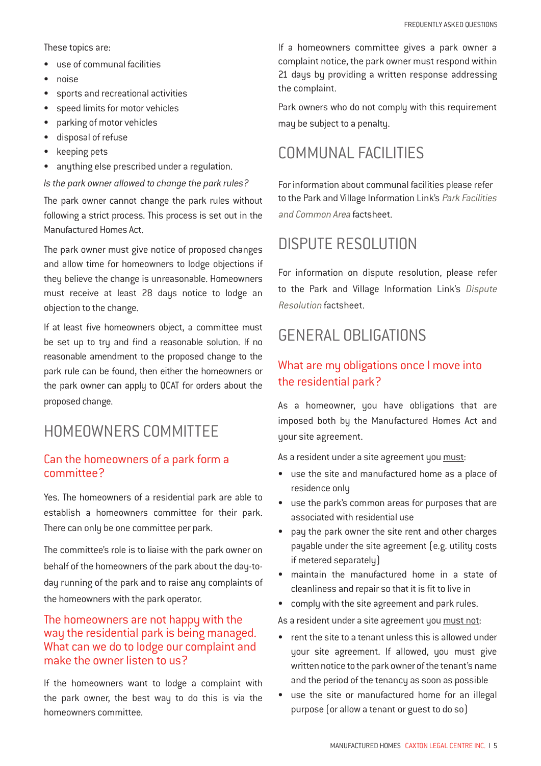These topics are:

- use of communal facilities
- noise
- sports and recreational activities
- speed limits for motor vehicles
- parking of motor vehicles
- disposal of refuse
- keeping pets
- anything else prescribed under a regulation.

*Is the park owner allowed to change the park rules?*

The park owner cannot change the park rules without following a strict process. This process is set out in the Manufactured Homes Act.

The park owner must give notice of proposed changes and allow time for homeowners to lodge objections if they believe the change is unreasonable. Homeowners must receive at least 28 days notice to lodge an objection to the change.

If at least five homeowners object, a committee must be set up to try and find a reasonable solution. If no reasonable amendment to the proposed change to the park rule can be found, then either the homeowners or the park owner can apply to QCAT for orders about the proposed change.

# HOMEOWNERS COMMITTEE

### Can the homeowners of a park form a committee?

Yes. The homeowners of a residential park are able to establish a homeowners committee for their park. There can only be one committee per park.

The committee's role is to liaise with the park owner on behalf of the homeowners of the park about the day-today running of the park and to raise any complaints of the homeowners with the park operator.

### The homeowners are not happy with the way the residential park is being managed. What can we do to lodge our complaint and make the owner listen to us?

If the homeowners want to lodge a complaint with the park owner, the best way to do this is via the homeowners committee.

If a homeowners committee gives a park owner a complaint notice, the park owner must respond within 21 days by providing a written response addressing the complaint.

Park owners who do not comply with this requirement may be subject to a penalty.

# COMMUNAL FACILITIES

For information about communal facilities please refer to the Park and Village Information Link's [Park Facilities](https://caxton.org.au/pdfs/MH%20-%20FS%20Park%20facilities%20and%20common%20areas.pdf)  [and Common Area](https://caxton.org.au/pdfs/MH%20-%20FS%20Park%20facilities%20and%20common%20areas.pdf) factsheet.

# DISPUTE RESOLUTION

For information on dispute resolution, please refer to the Park and Village Information Link's [Dispute](https://queenslandlawhandbook.org.au/factsheets-and-self-help-kits/disputes-and-complaints-regarding-parks/) [Resolution](https://queenslandlawhandbook.org.au/factsheets-and-self-help-kits/disputes-and-complaints-regarding-parks/) factsheet.

# GENERAL OBLIGATIONS

# What are my obligations once I move into the residential park?

As a homeowner, you have obligations that are imposed both by the Manufactured Homes Act and your site agreement.

As a resident under a site agreement you must:

- use the site and manufactured home as a place of residence only
- use the park's common areas for purposes that are associated with residential use
- pay the park owner the site rent and other charges payable under the site agreement (e.g. utility costs if metered separately)
- maintain the manufactured home in a state of cleanliness and repair so that it is fit to live in
- comply with the site agreement and park rules.

As a resident under a site agreement you must not:

- rent the site to a tenant unless this is allowed under your site agreement. If allowed, you must give written notice to the park owner of the tenant's name and the period of the tenancy as soon as possible
- use the site or manufactured home for an illegal purpose (or allow a tenant or guest to do so)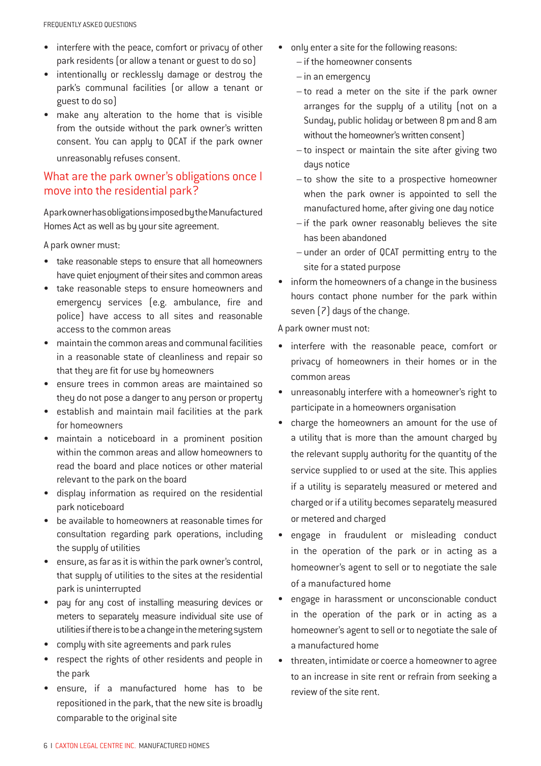- interfere with the peace, comfort or privacy of other park residents (or allow a tenant or guest to do so)
- intentionally or recklessly damage or destroy the park's communal facilities (or allow a tenant or guest to do so)
- make any alteration to the home that is visible from the outside without the park owner's written consent. You can apply to QCAT if the park owner unreasonably refuses consent.

#### What are the park owner's obligations once I move into the residential park?

A park owner has obligations imposed by the Manufactured Homes Act as well as by your site agreement.

A park owner must:

- take reasonable steps to ensure that all homeowners have quiet enjoyment of their sites and common areas
- take reasonable steps to ensure homeowners and emergency services (e.g. ambulance, fire and police) have access to all sites and reasonable access to the common areas
- maintain the common areas and communal facilities in a reasonable state of cleanliness and repair so that they are fit for use by homeowners
- ensure trees in common areas are maintained so they do not pose a danger to any person or property
- establish and maintain mail facilities at the park for homeowners
- maintain a noticeboard in a prominent position within the common areas and allow homeowners to read the board and place notices or other material relevant to the park on the board
- display information as required on the residential park noticeboard
- be available to homeowners at reasonable times for consultation regarding park operations, including the supply of utilities
- ensure, as far as it is within the park owner's control, that supply of utilities to the sites at the residential park is uninterrupted
- pay for any cost of installing measuring devices or meters to separately measure individual site use of utilities if there is to be a change in the metering system
- comply with site agreements and park rules
- respect the rights of other residents and people in the park
- ensure, if a manufactured home has to be repositioned in the park, that the new site is broadly comparable to the original site
- only enter a site for the following reasons:
	- if the homeowner consents
	- in an emergency
	- to read a meter on the site if the park owner arranges for the supply of a utility (not on a Sunday, public holiday or between 8 pm and 8 am without the homeowner's written consent)
	- to inspect or maintain the site after giving two days notice
	- to show the site to a prospective homeowner when the park owner is appointed to sell the manufactured home, after giving one day notice
	- if the park owner reasonably believes the site has been abandoned
	- under an order of QCAT permitting entry to the site for a stated purpose
- inform the homeowners of a change in the business hours contact phone number for the park within seven (7) days of the change.

A park owner must not:

- interfere with the reasonable peace, comfort or privacy of homeowners in their homes or in the common areas
- unreasonably interfere with a homeowner's right to participate in a homeowners organisation
- charge the homeowners an amount for the use of a utility that is more than the amount charged by the relevant supply authority for the quantity of the service supplied to or used at the site. This applies if a utility is separately measured or metered and charged or if a utility becomes separately measured or metered and charged
- engage in fraudulent or misleading conduct in the operation of the park or in acting as a homeowner's agent to sell or to negotiate the sale of a manufactured home
- engage in harassment or unconscionable conduct in the operation of the park or in acting as a homeowner's agent to sell or to negotiate the sale of a manufactured home
- threaten, intimidate or coerce a homeowner to agree to an increase in site rent or refrain from seeking a review of the site rent.